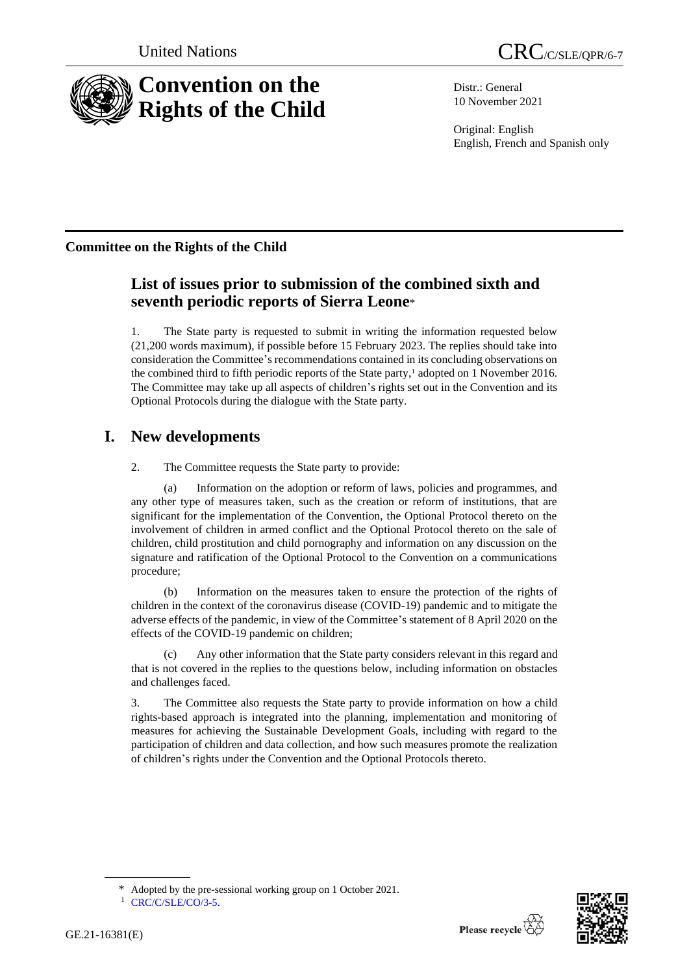

Distr.: General 10 November 2021

Original: English English, French and Spanish only

# **Committee on the Rights of the Child**

# **List of issues prior to submission of the combined sixth and seventh periodic reports of Sierra Leone**\*

1. The State party is requested to submit in writing the information requested below (21,200 words maximum), if possible before 15 February 2023. The replies should take into consideration the Committee's recommendations contained in its concluding observations on the combined third to fifth periodic reports of the State party,<sup>1</sup> adopted on 1 November 2016. The Committee may take up all aspects of children's rights set out in the Convention and its Optional Protocols during the dialogue with the State party.

# **I. New developments**

2. The Committee requests the State party to provide:

(a) Information on the adoption or reform of laws, policies and programmes, and any other type of measures taken, such as the creation or reform of institutions, that are significant for the implementation of the Convention, the Optional Protocol thereto on the involvement of children in armed conflict and the Optional Protocol thereto on the sale of children, child prostitution and child pornography and information on any discussion on the signature and ratification of the Optional Protocol to the Convention on a communications procedure;

(b) Information on the measures taken to ensure the protection of the rights of children in the context of the coronavirus disease (COVID-19) pandemic and to mitigate the adverse effects of the pandemic, in view of the Committee's statement of 8 April 2020 on the effects of the COVID-19 pandemic on children;

(c) Any other information that the State party considers relevant in this regard and that is not covered in the replies to the questions below, including information on obstacles and challenges faced.

3. The Committee also requests the State party to provide information on how a child rights-based approach is integrated into the planning, implementation and monitoring of measures for achieving the Sustainable Development Goals, including with regard to the participation of children and data collection, and how such measures promote the realization of children's rights under the Convention and the Optional Protocols thereto.



Adopted by the pre-sessional working group on 1 October 2021.

<sup>&</sup>lt;sup>1</sup> [CRC/C/SLE/CO/3-5.](http://undocs.org/en/CRC/C/SLE/CO/3-5.)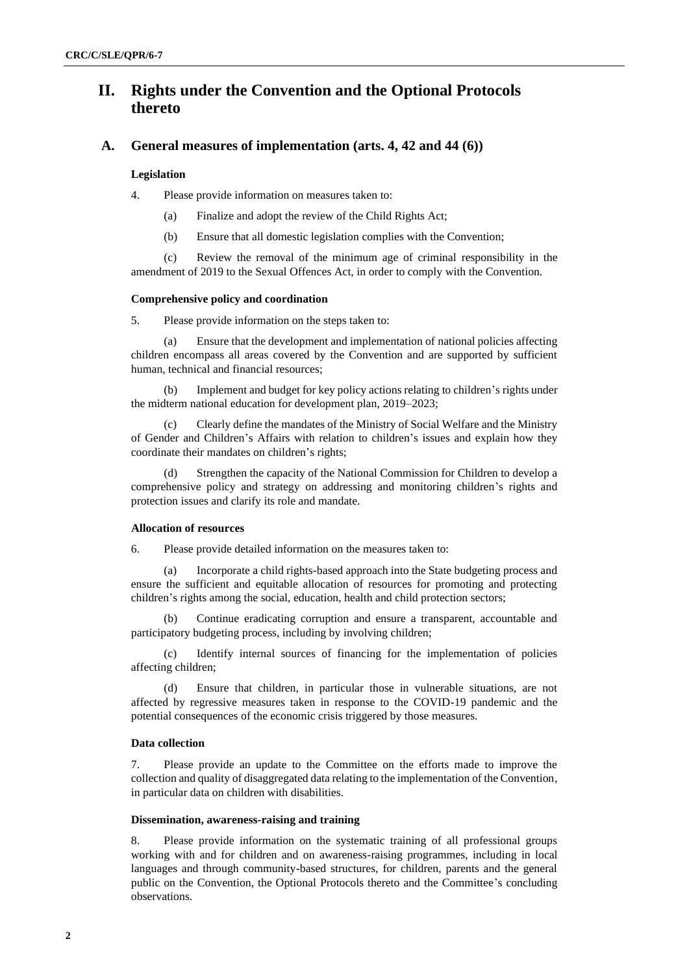# **II. Rights under the Convention and the Optional Protocols thereto**

### **A. General measures of implementation (arts. 4, 42 and 44 (6))**

#### **Legislation**

4. Please provide information on measures taken to:

- (a) Finalize and adopt the review of the Child Rights Act;
- (b) Ensure that all domestic legislation complies with the Convention;

(c) Review the removal of the minimum age of criminal responsibility in the amendment of 2019 to the Sexual Offences Act, in order to comply with the Convention.

### **Comprehensive policy and coordination**

#### 5. Please provide information on the steps taken to:

(a) Ensure that the development and implementation of national policies affecting children encompass all areas covered by the Convention and are supported by sufficient human, technical and financial resources;

(b) Implement and budget for key policy actions relating to children's rights under the midterm national education for development plan, 2019–2023;

Clearly define the mandates of the Ministry of Social Welfare and the Ministry of Gender and Children's Affairs with relation to children's issues and explain how they coordinate their mandates on children's rights;

Strengthen the capacity of the National Commission for Children to develop a comprehensive policy and strategy on addressing and monitoring children's rights and protection issues and clarify its role and mandate.

#### **Allocation of resources**

6. Please provide detailed information on the measures taken to:

(a) Incorporate a child rights-based approach into the State budgeting process and ensure the sufficient and equitable allocation of resources for promoting and protecting children's rights among the social, education, health and child protection sectors;

Continue eradicating corruption and ensure a transparent, accountable and participatory budgeting process, including by involving children;

(c) Identify internal sources of financing for the implementation of policies affecting children;

(d) Ensure that children, in particular those in vulnerable situations, are not affected by regressive measures taken in response to the COVID-19 pandemic and the potential consequences of the economic crisis triggered by those measures.

### **Data collection**

7. Please provide an update to the Committee on the efforts made to improve the collection and quality of disaggregated data relating to the implementation of the Convention, in particular data on children with disabilities.

#### **Dissemination, awareness-raising and training**

8. Please provide information on the systematic training of all professional groups working with and for children and on awareness-raising programmes, including in local languages and through community-based structures, for children, parents and the general public on the Convention, the Optional Protocols thereto and the Committee's concluding observations.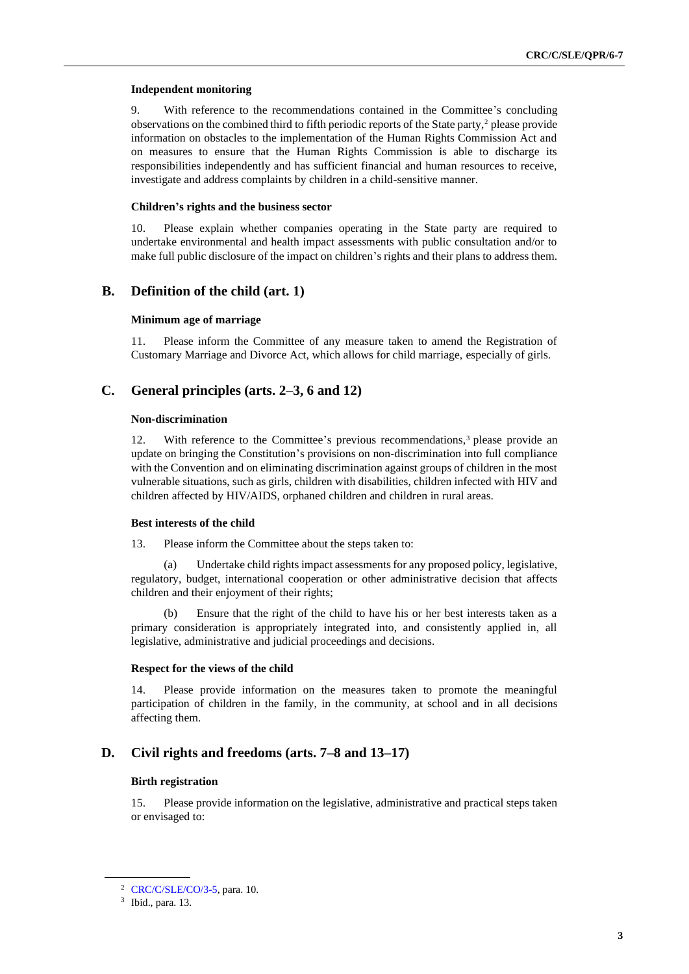#### **Independent monitoring**

9. With reference to the recommendations contained in the Committee's concluding observations on the combined third to fifth periodic reports of the State party,<sup>2</sup> please provide information on obstacles to the implementation of the Human Rights Commission Act and on measures to ensure that the Human Rights Commission is able to discharge its responsibilities independently and has sufficient financial and human resources to receive, investigate and address complaints by children in a child-sensitive manner.

#### **Children's rights and the business sector**

10. Please explain whether companies operating in the State party are required to undertake environmental and health impact assessments with public consultation and/or to make full public disclosure of the impact on children's rights and their plans to address them.

### **B. Definition of the child (art. 1)**

#### **Minimum age of marriage**

11. Please inform the Committee of any measure taken to amend the Registration of Customary Marriage and Divorce Act, which allows for child marriage, especially of girls.

## **C. General principles (arts. 2–3, 6 and 12)**

#### **Non-discrimination**

12. With reference to the Committee's previous recommendations,<sup>3</sup> please provide an update on bringing the Constitution's provisions on non-discrimination into full compliance with the Convention and on eliminating discrimination against groups of children in the most vulnerable situations, such as girls, children with disabilities, children infected with HIV and children affected by HIV/AIDS, orphaned children and children in rural areas.

#### **Best interests of the child**

13. Please inform the Committee about the steps taken to:

(a) Undertake child rights impact assessments for any proposed policy, legislative, regulatory, budget, international cooperation or other administrative decision that affects children and their enjoyment of their rights;

Ensure that the right of the child to have his or her best interests taken as a primary consideration is appropriately integrated into, and consistently applied in, all legislative, administrative and judicial proceedings and decisions.

#### **Respect for the views of the child**

14. Please provide information on the measures taken to promote the meaningful participation of children in the family, in the community, at school and in all decisions affecting them.

### **D. Civil rights and freedoms (arts. 7–8 and 13–17)**

#### **Birth registration**

15. Please provide information on the legislative, administrative and practical steps taken or envisaged to:

<sup>2</sup> [CRC/C/SLE/CO/3-5,](http://undocs.org/en/CRC/C/SLE/CO/3-5) para. 10.

<sup>3</sup> Ibid., para. 13.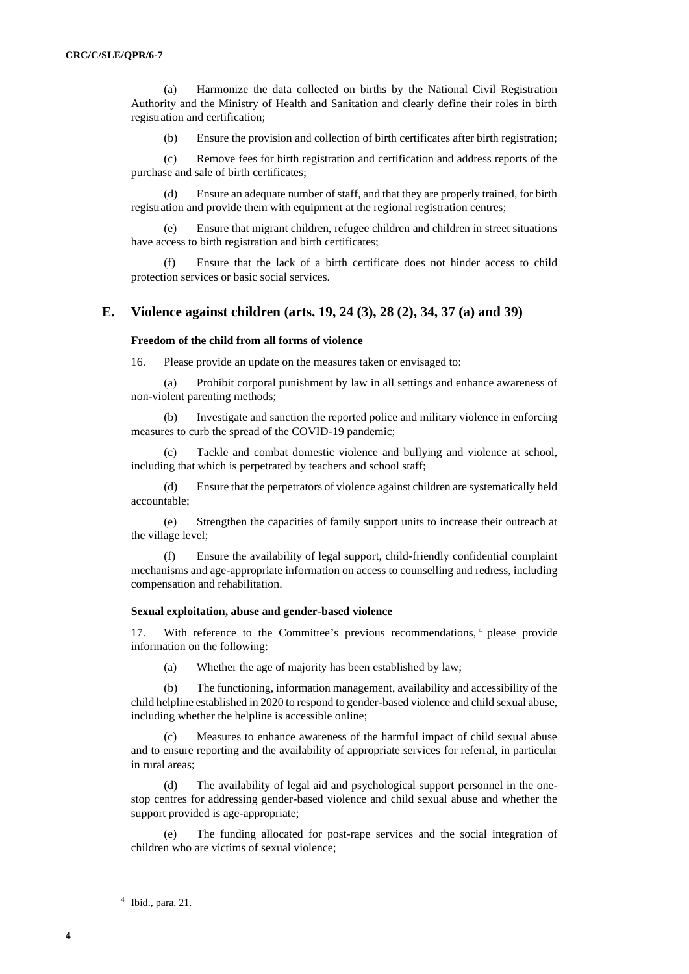(a) Harmonize the data collected on births by the National Civil Registration Authority and the Ministry of Health and Sanitation and clearly define their roles in birth registration and certification;

(b) Ensure the provision and collection of birth certificates after birth registration;

(c) Remove fees for birth registration and certification and address reports of the purchase and sale of birth certificates;

(d) Ensure an adequate number of staff, and that they are properly trained, for birth registration and provide them with equipment at the regional registration centres;

(e) Ensure that migrant children, refugee children and children in street situations have access to birth registration and birth certificates;

(f) Ensure that the lack of a birth certificate does not hinder access to child protection services or basic social services.

### **E. Violence against children (arts. 19, 24 (3), 28 (2), 34, 37 (a) and 39)**

#### **Freedom of the child from all forms of violence**

16. Please provide an update on the measures taken or envisaged to:

(a) Prohibit corporal punishment by law in all settings and enhance awareness of non-violent parenting methods;

(b) Investigate and sanction the reported police and military violence in enforcing measures to curb the spread of the COVID-19 pandemic;

(c) Tackle and combat domestic violence and bullying and violence at school, including that which is perpetrated by teachers and school staff;

(d) Ensure that the perpetrators of violence against children are systematically held accountable;

(e) Strengthen the capacities of family support units to increase their outreach at the village level;

(f) Ensure the availability of legal support, child-friendly confidential complaint mechanisms and age-appropriate information on access to counselling and redress, including compensation and rehabilitation.

#### **Sexual exploitation, abuse and gender-based violence**

17. With reference to the Committee's previous recommendations, <sup>4</sup> please provide information on the following:

(a) Whether the age of majority has been established by law;

(b) The functioning, information management, availability and accessibility of the child helpline established in 2020 to respond to gender-based violence and child sexual abuse, including whether the helpline is accessible online;

Measures to enhance awareness of the harmful impact of child sexual abuse and to ensure reporting and the availability of appropriate services for referral, in particular in rural areas;

(d) The availability of legal aid and psychological support personnel in the onestop centres for addressing gender-based violence and child sexual abuse and whether the support provided is age-appropriate;

(e) The funding allocated for post-rape services and the social integration of children who are victims of sexual violence;

<sup>4</sup> Ibid., para. 21.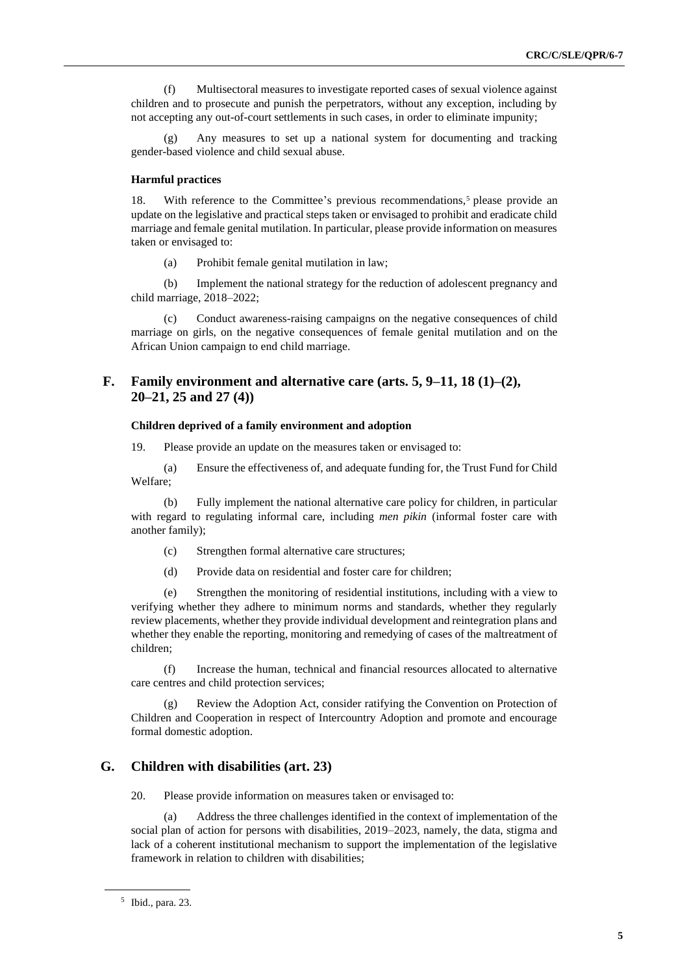(f) Multisectoral measures to investigate reported cases of sexual violence against children and to prosecute and punish the perpetrators, without any exception, including by not accepting any out-of-court settlements in such cases, in order to eliminate impunity;

(g) Any measures to set up a national system for documenting and tracking gender-based violence and child sexual abuse.

#### **Harmful practices**

18. With reference to the Committee's previous recommendations,<sup>5</sup> please provide an update on the legislative and practical steps taken or envisaged to prohibit and eradicate child marriage and female genital mutilation. In particular, please provide information on measures taken or envisaged to:

(a) Prohibit female genital mutilation in law;

(b) Implement the national strategy for the reduction of adolescent pregnancy and child marriage, 2018–2022;

(c) Conduct awareness-raising campaigns on the negative consequences of child marriage on girls, on the negative consequences of female genital mutilation and on the African Union campaign to end child marriage.

# **F. Family environment and alternative care (arts. 5, 9–11, 18 (1)–(2), 20–21, 25 and 27 (4))**

### **Children deprived of a family environment and adoption**

19. Please provide an update on the measures taken or envisaged to:

(a) Ensure the effectiveness of, and adequate funding for, the Trust Fund for Child Welfare;

(b) Fully implement the national alternative care policy for children, in particular with regard to regulating informal care, including *men pikin* (informal foster care with another family);

- (c) Strengthen formal alternative care structures;
- (d) Provide data on residential and foster care for children;

(e) Strengthen the monitoring of residential institutions, including with a view to verifying whether they adhere to minimum norms and standards, whether they regularly review placements, whether they provide individual development and reintegration plans and whether they enable the reporting, monitoring and remedying of cases of the maltreatment of children;

(f) Increase the human, technical and financial resources allocated to alternative care centres and child protection services;

(g) Review the Adoption Act, consider ratifying the Convention on Protection of Children and Cooperation in respect of Intercountry Adoption and promote and encourage formal domestic adoption.

# **G. Children with disabilities (art. 23)**

20. Please provide information on measures taken or envisaged to:

(a) Address the three challenges identified in the context of implementation of the social plan of action for persons with disabilities, 2019–2023, namely, the data, stigma and lack of a coherent institutional mechanism to support the implementation of the legislative framework in relation to children with disabilities;

<sup>5</sup> Ibid., para. 23.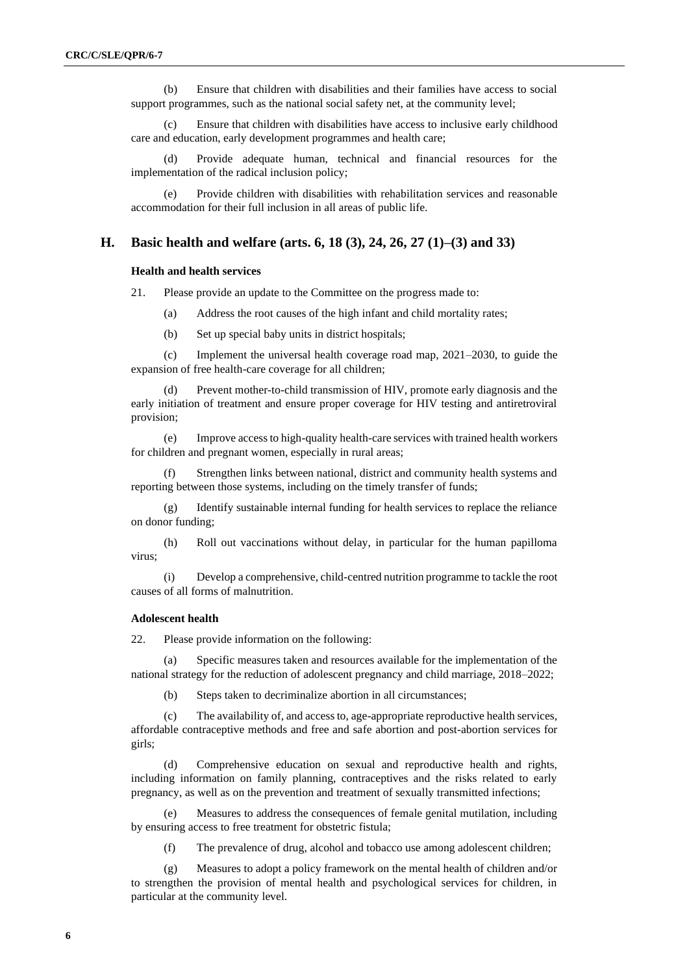(b) Ensure that children with disabilities and their families have access to social support programmes, such as the national social safety net, at the community level;

(c) Ensure that children with disabilities have access to inclusive early childhood care and education, early development programmes and health care;

(d) Provide adequate human, technical and financial resources for the implementation of the radical inclusion policy;

(e) Provide children with disabilities with rehabilitation services and reasonable accommodation for their full inclusion in all areas of public life.

### **H. Basic health and welfare (arts. 6, 18 (3), 24, 26, 27 (1)–(3) and 33)**

### **Health and health services**

21. Please provide an update to the Committee on the progress made to:

- (a) Address the root causes of the high infant and child mortality rates;
- (b) Set up special baby units in district hospitals;

(c) Implement the universal health coverage road map, 2021–2030, to guide the expansion of free health-care coverage for all children;

(d) Prevent mother-to-child transmission of HIV, promote early diagnosis and the early initiation of treatment and ensure proper coverage for HIV testing and antiretroviral provision;

(e) Improve access to high-quality health-care services with trained health workers for children and pregnant women, especially in rural areas;

Strengthen links between national, district and community health systems and reporting between those systems, including on the timely transfer of funds;

(g) Identify sustainable internal funding for health services to replace the reliance on donor funding;

(h) Roll out vaccinations without delay, in particular for the human papilloma virus;

(i) Develop a comprehensive, child-centred nutrition programme to tackle the root causes of all forms of malnutrition.

#### **Adolescent health**

22. Please provide information on the following:

(a) Specific measures taken and resources available for the implementation of the national strategy for the reduction of adolescent pregnancy and child marriage, 2018–2022;

(b) Steps taken to decriminalize abortion in all circumstances;

(c) The availability of, and access to, age-appropriate reproductive health services, affordable contraceptive methods and free and safe abortion and post-abortion services for girls;

(d) Comprehensive education on sexual and reproductive health and rights, including information on family planning, contraceptives and the risks related to early pregnancy, as well as on the prevention and treatment of sexually transmitted infections;

(e) Measures to address the consequences of female genital mutilation, including by ensuring access to free treatment for obstetric fistula;

(f) The prevalence of drug, alcohol and tobacco use among adolescent children;

(g) Measures to adopt a policy framework on the mental health of children and/or to strengthen the provision of mental health and psychological services for children, in particular at the community level.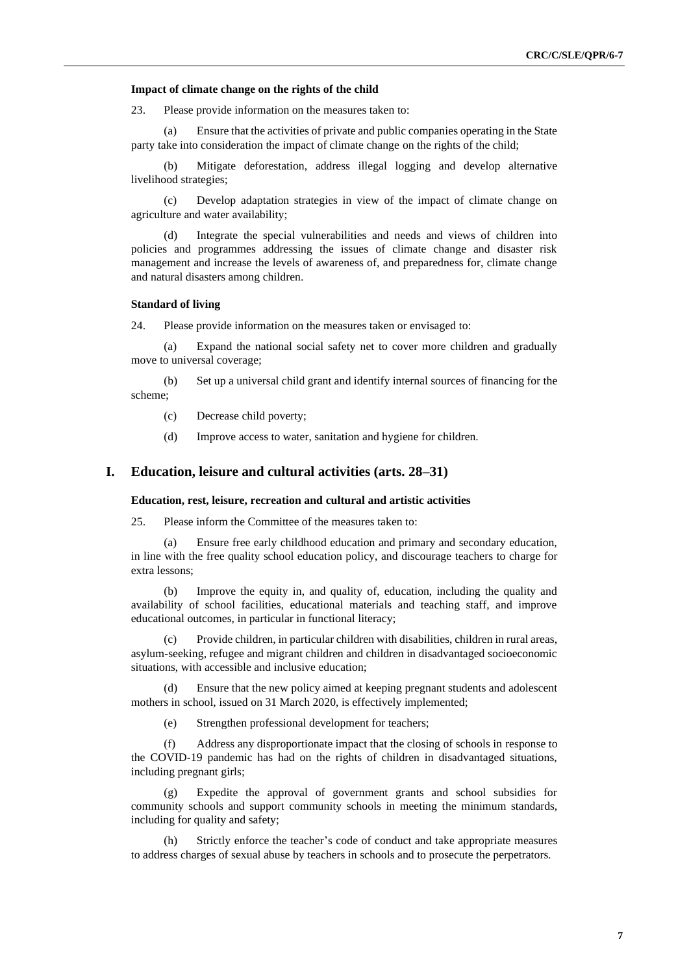#### **Impact of climate change on the rights of the child**

23. Please provide information on the measures taken to:

(a) Ensure that the activities of private and public companies operating in the State party take into consideration the impact of climate change on the rights of the child;

(b) Mitigate deforestation, address illegal logging and develop alternative livelihood strategies;

(c) Develop adaptation strategies in view of the impact of climate change on agriculture and water availability;

(d) Integrate the special vulnerabilities and needs and views of children into policies and programmes addressing the issues of climate change and disaster risk management and increase the levels of awareness of, and preparedness for, climate change and natural disasters among children.

#### **Standard of living**

24. Please provide information on the measures taken or envisaged to:

(a) Expand the national social safety net to cover more children and gradually move to universal coverage;

(b) Set up a universal child grant and identify internal sources of financing for the scheme;

(c) Decrease child poverty;

(d) Improve access to water, sanitation and hygiene for children.

### **I. Education, leisure and cultural activities (arts. 28–31)**

#### **Education, rest, leisure, recreation and cultural and artistic activities**

25. Please inform the Committee of the measures taken to:

(a) Ensure free early childhood education and primary and secondary education, in line with the free quality school education policy, and discourage teachers to charge for extra lessons;

(b) Improve the equity in, and quality of, education, including the quality and availability of school facilities, educational materials and teaching staff, and improve educational outcomes, in particular in functional literacy;

(c) Provide children, in particular children with disabilities, children in rural areas, asylum-seeking, refugee and migrant children and children in disadvantaged socioeconomic situations, with accessible and inclusive education;

(d) Ensure that the new policy aimed at keeping pregnant students and adolescent mothers in school, issued on 31 March 2020, is effectively implemented;

(e) Strengthen professional development for teachers;

(f) Address any disproportionate impact that the closing of schools in response to the COVID-19 pandemic has had on the rights of children in disadvantaged situations, including pregnant girls;

(g) Expedite the approval of government grants and school subsidies for community schools and support community schools in meeting the minimum standards, including for quality and safety;

Strictly enforce the teacher's code of conduct and take appropriate measures to address charges of sexual abuse by teachers in schools and to prosecute the perpetrators.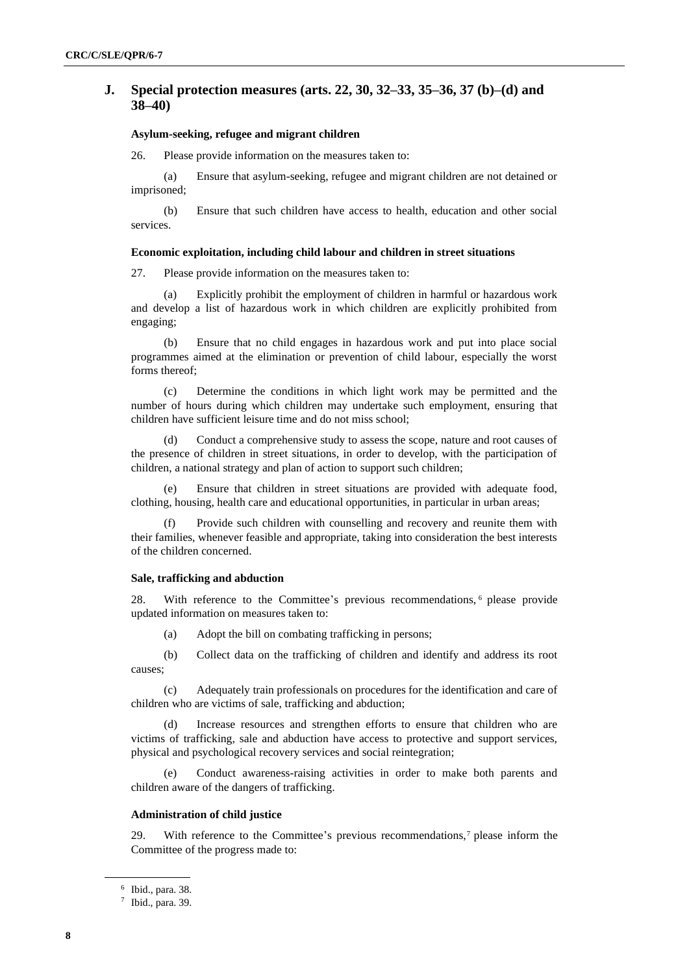# **J. Special protection measures (arts. 22, 30, 32–33, 35–36, 37 (b)–(d) and 38–40)**

### **Asylum-seeking, refugee and migrant children**

26. Please provide information on the measures taken to:

(a) Ensure that asylum-seeking, refugee and migrant children are not detained or imprisoned;

(b) Ensure that such children have access to health, education and other social services.

#### **Economic exploitation, including child labour and children in street situations**

27. Please provide information on the measures taken to:

(a) Explicitly prohibit the employment of children in harmful or hazardous work and develop a list of hazardous work in which children are explicitly prohibited from engaging;

(b) Ensure that no child engages in hazardous work and put into place social programmes aimed at the elimination or prevention of child labour, especially the worst forms thereof;

(c) Determine the conditions in which light work may be permitted and the number of hours during which children may undertake such employment, ensuring that children have sufficient leisure time and do not miss school;

Conduct a comprehensive study to assess the scope, nature and root causes of the presence of children in street situations, in order to develop, with the participation of children, a national strategy and plan of action to support such children;

Ensure that children in street situations are provided with adequate food, clothing, housing, health care and educational opportunities, in particular in urban areas;

(f) Provide such children with counselling and recovery and reunite them with their families, whenever feasible and appropriate, taking into consideration the best interests of the children concerned.

#### **Sale, trafficking and abduction**

28. With reference to the Committee's previous recommendations, <sup>6</sup> please provide updated information on measures taken to:

(a) Adopt the bill on combating trafficking in persons;

(b) Collect data on the trafficking of children and identify and address its root causes;

(c) Adequately train professionals on procedures for the identification and care of children who are victims of sale, trafficking and abduction;

(d) Increase resources and strengthen efforts to ensure that children who are victims of trafficking, sale and abduction have access to protective and support services, physical and psychological recovery services and social reintegration;

(e) Conduct awareness-raising activities in order to make both parents and children aware of the dangers of trafficking.

#### **Administration of child justice**

29. With reference to the Committee's previous recommendations, $<sup>7</sup>$  please inform the</sup> Committee of the progress made to:

<sup>6</sup> Ibid., para. 38.

<sup>7</sup> Ibid., para. 39.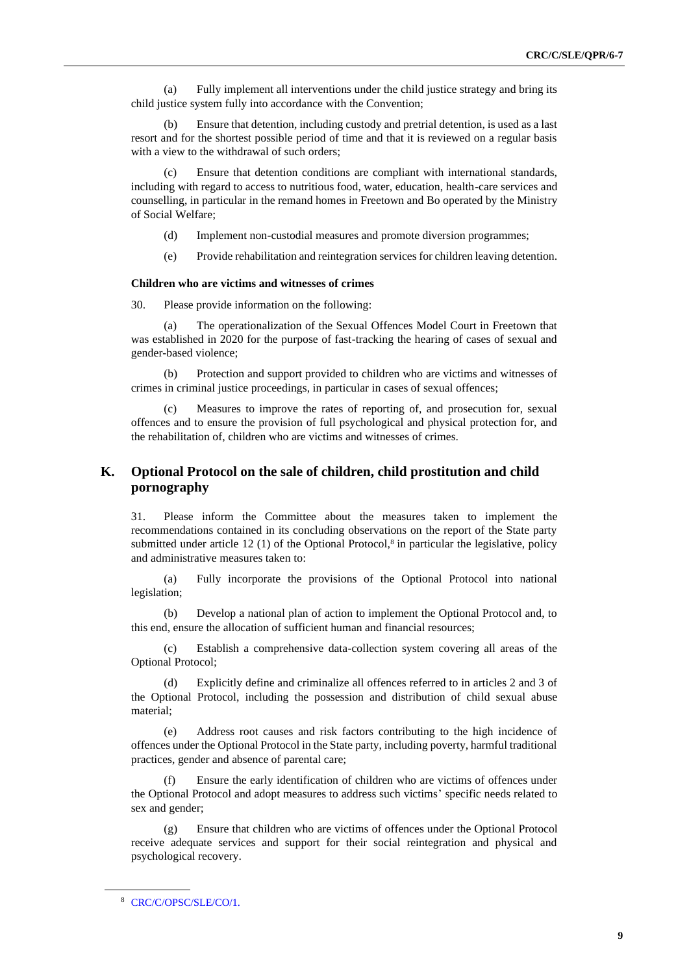(a) Fully implement all interventions under the child justice strategy and bring its child justice system fully into accordance with the Convention;

(b) Ensure that detention, including custody and pretrial detention, is used as a last resort and for the shortest possible period of time and that it is reviewed on a regular basis with a view to the withdrawal of such orders:

Ensure that detention conditions are compliant with international standards, including with regard to access to nutritious food, water, education, health-care services and counselling, in particular in the remand homes in Freetown and Bo operated by the Ministry of Social Welfare;

- (d) Implement non-custodial measures and promote diversion programmes;
- (e) Provide rehabilitation and reintegration services for children leaving detention.

#### **Children who are victims and witnesses of crimes**

30. Please provide information on the following:

(a) The operationalization of the Sexual Offences Model Court in Freetown that was established in 2020 for the purpose of fast-tracking the hearing of cases of sexual and gender-based violence;

(b) Protection and support provided to children who are victims and witnesses of crimes in criminal justice proceedings, in particular in cases of sexual offences;

(c) Measures to improve the rates of reporting of, and prosecution for, sexual offences and to ensure the provision of full psychological and physical protection for, and the rehabilitation of, children who are victims and witnesses of crimes.

# **K. Optional Protocol on the sale of children, child prostitution and child pornography**

31. Please inform the Committee about the measures taken to implement the recommendations contained in its concluding observations on the report of the State party submitted under article  $12$  (1) of the Optional Protocol,<sup>8</sup> in particular the legislative, policy and administrative measures taken to:

(a) Fully incorporate the provisions of the Optional Protocol into national legislation;

(b) Develop a national plan of action to implement the Optional Protocol and, to this end, ensure the allocation of sufficient human and financial resources;

(c) Establish a comprehensive data-collection system covering all areas of the Optional Protocol;

(d) Explicitly define and criminalize all offences referred to in articles 2 and 3 of the Optional Protocol, including the possession and distribution of child sexual abuse material;

(e) Address root causes and risk factors contributing to the high incidence of offences under the Optional Protocol in the State party, including poverty, harmful traditional practices, gender and absence of parental care;

(f) Ensure the early identification of children who are victims of offences under the Optional Protocol and adopt measures to address such victims' specific needs related to sex and gender;

Ensure that children who are victims of offences under the Optional Protocol receive adequate services and support for their social reintegration and physical and psychological recovery.

<sup>8</sup> [CRC/C/OPSC/SLE/CO/1.](http://undocs.org/en/CRC/C/OPSC/SLE/CO/1.)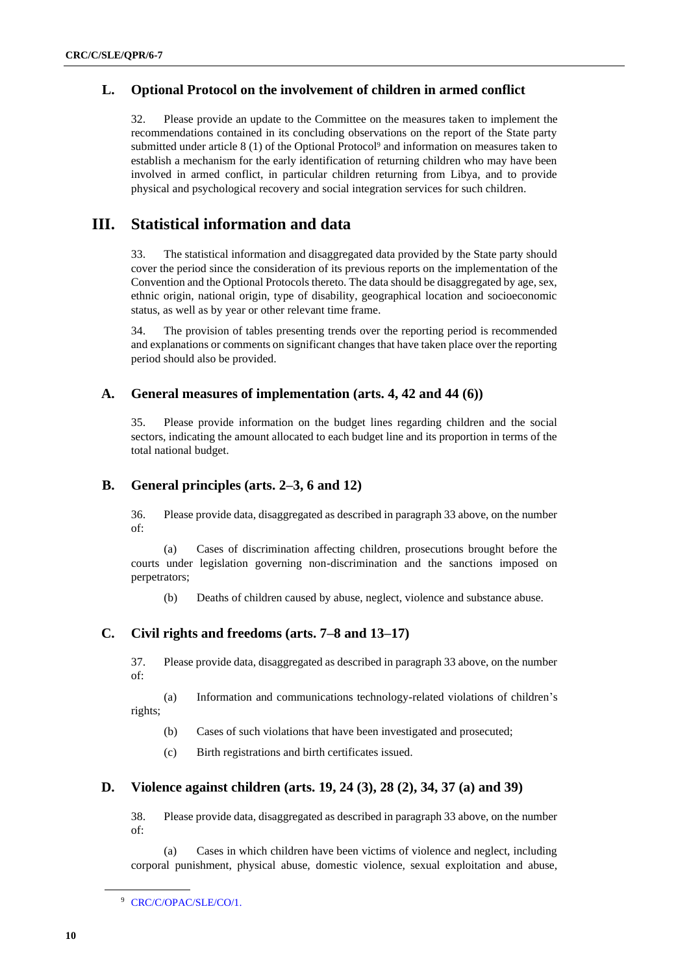# **L. Optional Protocol on the involvement of children in armed conflict**

32. Please provide an update to the Committee on the measures taken to implement the recommendations contained in its concluding observations on the report of the State party submitted under article 8 (1) of the Optional Protocol<sup>9</sup> and information on measures taken to establish a mechanism for the early identification of returning children who may have been involved in armed conflict, in particular children returning from Libya, and to provide physical and psychological recovery and social integration services for such children.

# **III. Statistical information and data**

33. The statistical information and disaggregated data provided by the State party should cover the period since the consideration of its previous reports on the implementation of the Convention and the Optional Protocols thereto. The data should be disaggregated by age, sex, ethnic origin, national origin, type of disability, geographical location and socioeconomic status, as well as by year or other relevant time frame.

34. The provision of tables presenting trends over the reporting period is recommended and explanations or comments on significant changes that have taken place over the reporting period should also be provided.

## **A. General measures of implementation (arts. 4, 42 and 44 (6))**

35. Please provide information on the budget lines regarding children and the social sectors, indicating the amount allocated to each budget line and its proportion in terms of the total national budget.

# **B. General principles (arts. 2–3, 6 and 12)**

36. Please provide data, disaggregated as described in paragraph 33 above, on the number of:

(a) Cases of discrimination affecting children, prosecutions brought before the courts under legislation governing non-discrimination and the sanctions imposed on perpetrators;

(b) Deaths of children caused by abuse, neglect, violence and substance abuse.

# **C. Civil rights and freedoms (arts. 7–8 and 13–17)**

37. Please provide data, disaggregated as described in paragraph 33 above, on the number of:

(a) Information and communications technology-related violations of children's rights;

(b) Cases of such violations that have been investigated and prosecuted;

(c) Birth registrations and birth certificates issued.

# **D. Violence against children (arts. 19, 24 (3), 28 (2), 34, 37 (a) and 39)**

38. Please provide data, disaggregated as described in paragraph 33 above, on the number of:

(a) Cases in which children have been victims of violence and neglect, including corporal punishment, physical abuse, domestic violence, sexual exploitation and abuse,

<sup>&</sup>lt;sup>9</sup> [CRC/C/OPAC/SLE/CO/1.](http://undocs.org/en/CRC/C/OPAC/SLE/CO/1.)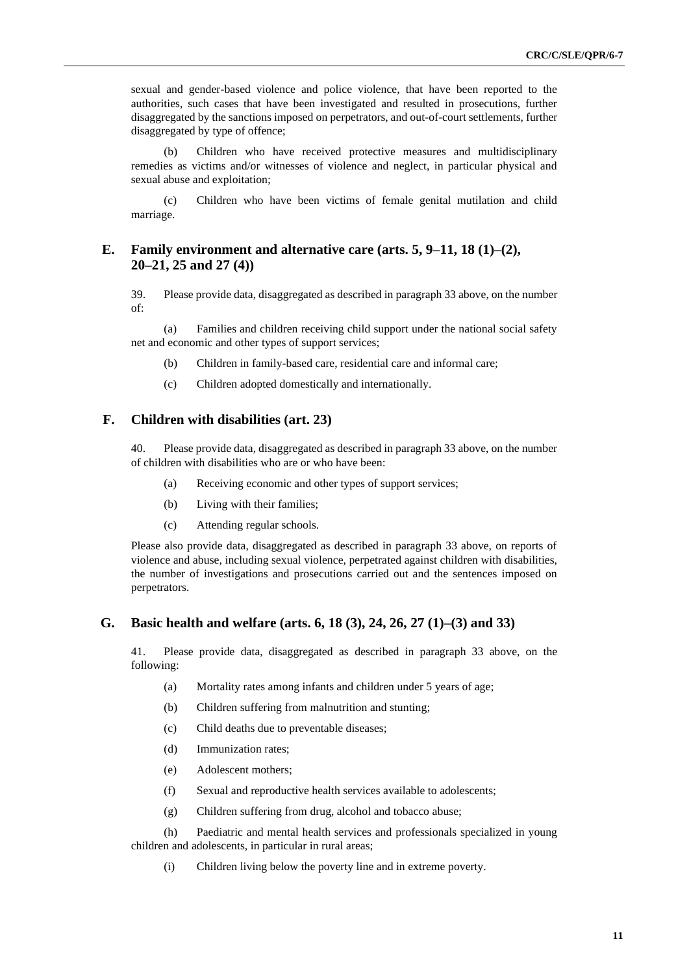sexual and gender-based violence and police violence, that have been reported to the authorities, such cases that have been investigated and resulted in prosecutions, further disaggregated by the sanctions imposed on perpetrators, and out-of-court settlements, further disaggregated by type of offence;

(b) Children who have received protective measures and multidisciplinary remedies as victims and/or witnesses of violence and neglect, in particular physical and sexual abuse and exploitation;

(c) Children who have been victims of female genital mutilation and child marriage.

# **E. Family environment and alternative care (arts. 5, 9–11, 18 (1)–(2), 20–21, 25 and 27 (4))**

39. Please provide data, disaggregated as described in paragraph 33 above, on the number of:

(a) Families and children receiving child support under the national social safety net and economic and other types of support services;

- (b) Children in family-based care, residential care and informal care;
- (c) Children adopted domestically and internationally.

### **F. Children with disabilities (art. 23)**

40. Please provide data, disaggregated as described in paragraph 33 above, on the number of children with disabilities who are or who have been:

- (a) Receiving economic and other types of support services;
- (b) Living with their families;
- (c) Attending regular schools.

Please also provide data, disaggregated as described in paragraph 33 above, on reports of violence and abuse, including sexual violence, perpetrated against children with disabilities, the number of investigations and prosecutions carried out and the sentences imposed on perpetrators.

### **G. Basic health and welfare (arts. 6, 18 (3), 24, 26, 27 (1)–(3) and 33)**

41. Please provide data, disaggregated as described in paragraph 33 above, on the following:

- (a) Mortality rates among infants and children under 5 years of age;
- (b) Children suffering from malnutrition and stunting;
- (c) Child deaths due to preventable diseases;
- (d) Immunization rates;
- (e) Adolescent mothers;
- (f) Sexual and reproductive health services available to adolescents;
- (g) Children suffering from drug, alcohol and tobacco abuse;

(h) Paediatric and mental health services and professionals specialized in young children and adolescents, in particular in rural areas;

(i) Children living below the poverty line and in extreme poverty.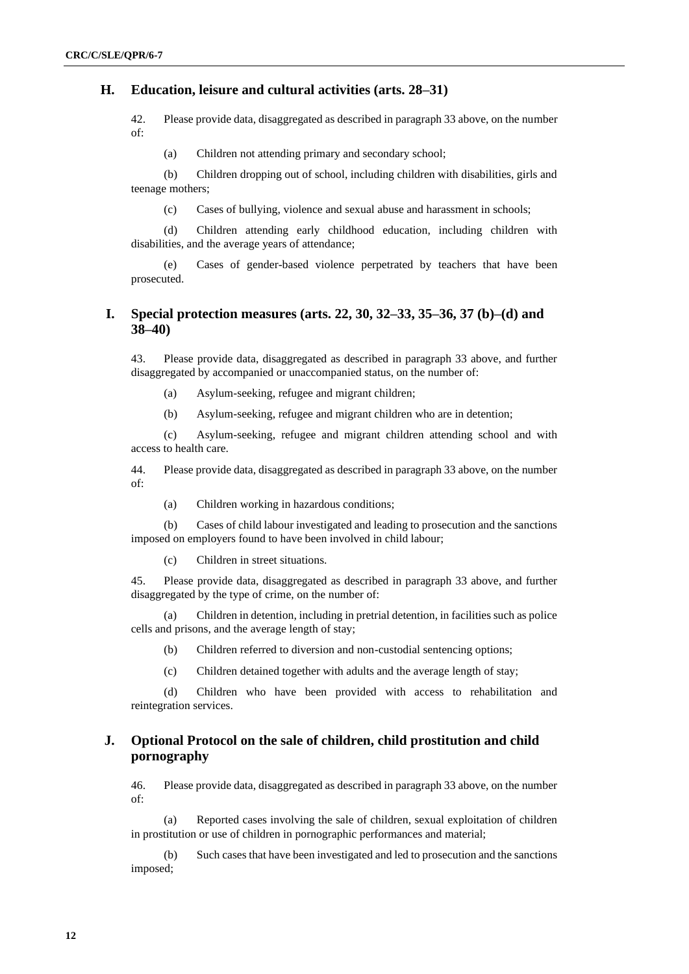## **H. Education, leisure and cultural activities (arts. 28–31)**

42. Please provide data, disaggregated as described in paragraph 33 above, on the number of:

(a) Children not attending primary and secondary school;

(b) Children dropping out of school, including children with disabilities, girls and teenage mothers;

(c) Cases of bullying, violence and sexual abuse and harassment in schools;

(d) Children attending early childhood education, including children with disabilities, and the average years of attendance;

(e) Cases of gender-based violence perpetrated by teachers that have been prosecuted.

# **I. Special protection measures (arts. 22, 30, 32–33, 35–36, 37 (b)–(d) and 38–40)**

43. Please provide data, disaggregated as described in paragraph 33 above, and further disaggregated by accompanied or unaccompanied status, on the number of:

(a) Asylum-seeking, refugee and migrant children;

(b) Asylum-seeking, refugee and migrant children who are in detention;

(c) Asylum-seeking, refugee and migrant children attending school and with access to health care.

44. Please provide data, disaggregated as described in paragraph 33 above, on the number of:

(a) Children working in hazardous conditions;

(b) Cases of child labour investigated and leading to prosecution and the sanctions imposed on employers found to have been involved in child labour;

(c) Children in street situations.

45. Please provide data, disaggregated as described in paragraph 33 above, and further disaggregated by the type of crime, on the number of:

(a) Children in detention, including in pretrial detention, in facilities such as police cells and prisons, and the average length of stay;

(b) Children referred to diversion and non-custodial sentencing options;

(c) Children detained together with adults and the average length of stay;

(d) Children who have been provided with access to rehabilitation and reintegration services.

# **J. Optional Protocol on the sale of children, child prostitution and child pornography**

46. Please provide data, disaggregated as described in paragraph 33 above, on the number of:

(a) Reported cases involving the sale of children, sexual exploitation of children in prostitution or use of children in pornographic performances and material;

(b) Such cases that have been investigated and led to prosecution and the sanctions imposed;